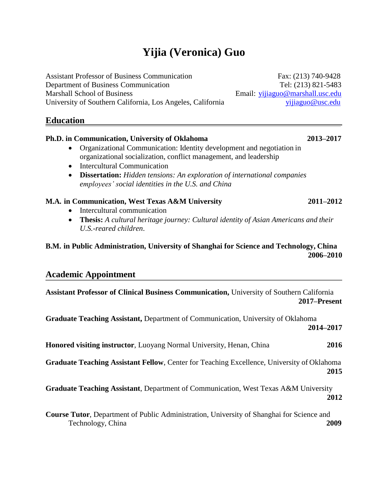# **Yijia (Veronica) Guo**

Assistant Professor of Business Communication Fax: (213) 740-9428 Department of Business Communication Tel: (213) 821-5483 Marshall School of Business Email: [yijiaguo@marshall.usc.edu](mailto:yijiaguo@marshall.usc.edu) University of Southern California, Los Angeles, California [yijiaguo@usc.edu](mailto:yijiaguo@usc.edu)

## **Education**

## **Ph.D. in Communication, University of Oklahoma 2013–2017**

- Organizational Communication: Identity development and negotiation in organizational socialization, conflict management, and leadership
- Intercultural Communication
- **Dissertation:** *Hidden tensions: An exploration of international companies employees' social identities in the U.S. and China*

## **M.A. in Communication, West Texas A&M University 2011–2012**

- Intercultural communication
- **Thesis:** *A cultural heritage journey: Cultural identity of Asian Americans and their U.S.-reared children*.

## **B.M. in Public Administration, University of Shanghai for Science and Technology, China 2006–2010**

## **Academic Appointment**

**Assistant Professor of Clinical Business Communication,** University of Southern California **2017–Present**

**Graduate Teaching Assistant,** Department of Communication, University of Oklahoma **2014–2017 Honored visiting instructor**, Luoyang Normal University, Henan, China **2016** 

**Graduate Teaching Assistant Fellow**, Center for Teaching Excellence, University of Oklahoma **2015**

**Graduate Teaching Assistant**, Department of Communication, West Texas A&M University **2012**

**Course Tutor**, Department of Public Administration, University of Shanghai for Science and Technology, China **2009**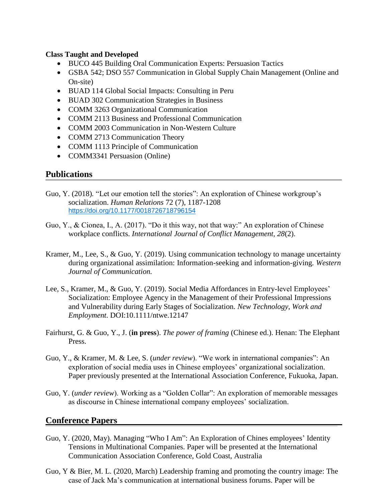## **Class Taught and Developed**

- BUCO 445 Building Oral Communication Experts: Persuasion Tactics
- GSBA 542; DSO 557 Communication in Global Supply Chain Management (Online and On-site)
- BUAD 114 Global Social Impacts: Consulting in Peru
- BUAD 302 Communication Strategies in Business
- COMM 3263 Organizational Communication
- COMM 2113 Business and Professional Communication
- COMM 2003 Communication in Non-Western Culture
- COMM 2713 Communication Theory
- COMM 1113 Principle of Communication
- COMM3341 Persuasion (Online)

## **Publications**

- Guo, Y. (2018). "Let our emotion tell the stories": An exploration of Chinese workgroup's socialization. *Human Relations* 72 (7), 1187-1208 [https://doi.org/10.1177/0018726718796154](https://doi.org/10.1177%2F0018726718796154)
- Guo, Y., & Cionea, I., A. (2017). "Do it this way, not that way:" An exploration of Chinese workplace conflicts. *International Journal of Conflict Management, 28*(2).
- Kramer, M., Lee, S., & Guo, Y. (2019). Using communication technology to manage uncertainty during organizational assimilation: Information-seeking and information-giving. *Western Journal of Communication.*
- Lee, S., Kramer, M., & Guo, Y. (2019). Social Media Affordances in Entry-level Employees' Socialization: Employee Agency in the Management of their Professional Impressions and Vulnerability during Early Stages of Socialization. *New Technology, Work and Employment*. DOI:10.1111/ntwe.12147
- Fairhurst, G. & Guo, Y., J. (**in press**). *The power of framing* (Chinese ed.). Henan: The Elephant Press.
- Guo, Y., & Kramer, M. & Lee, S. (*under review*). "We work in international companies": An exploration of social media uses in Chinese employees' organizational socialization. Paper previously presented at the International Association Conference, Fukuoka, Japan.
- Guo, Y. (*under review*). Working as a "Golden Collar": An exploration of memorable messages as discourse in Chinese international company employees' socialization.

## **Conference Papers**

- Guo, Y. (2020, May). Managing "Who I Am": An Exploration of Chines employees' Identity Tensions in Multinational Companies. Paper will be presented at the International Communication Association Conference, Gold Coast, Australia
- Guo, Y & Bier, M. L. (2020, March) Leadership framing and promoting the country image: The case of Jack Ma's communication at international business forums. Paper will be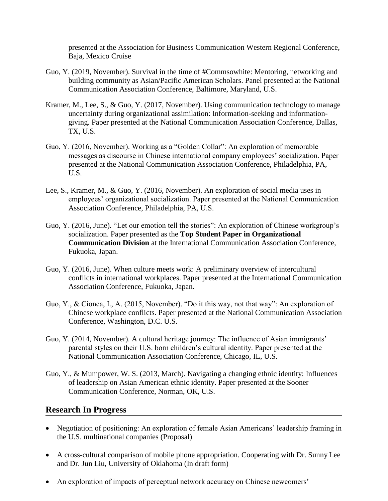presented at the Association for Business Communication Western Regional Conference, Baja, Mexico Cruise

- Guo, Y. (2019, November). Survival in the time of #Commsowhite: Mentoring, networking and building community as Asian/Pacific American Scholars. Panel presented at the National Communication Association Conference, Baltimore, Maryland, U.S.
- Kramer, M., Lee, S., & Guo, Y. (2017, November). Using communication technology to manage uncertainty during organizational assimilation: Information-seeking and informationgiving. Paper presented at the National Communication Association Conference, Dallas, TX, U.S.
- Guo, Y. (2016, November). Working as a "Golden Collar": An exploration of memorable messages as discourse in Chinese international company employees' socialization. Paper presented at the National Communication Association Conference, Philadelphia, PA, U.S.
- Lee, S., Kramer, M., & Guo, Y. (2016, November). An exploration of social media uses in employees' organizational socialization. Paper presented at the National Communication Association Conference, Philadelphia, PA, U.S.
- Guo, Y. (2016, June). "Let our emotion tell the stories": An exploration of Chinese workgroup's socialization. Paper presented as the **Top Student Paper in Organizational Communication Division** at the International Communication Association Conference, Fukuoka, Japan.
- Guo, Y. (2016, June). When culture meets work: A preliminary overview of intercultural conflicts in international workplaces. Paper presented at the International Communication Association Conference, Fukuoka, Japan.
- Guo, Y., & Cionea, I., A. (2015, November). "Do it this way, not that way": An exploration of Chinese workplace conflicts. Paper presented at the National Communication Association Conference, Washington, D.C. U.S.
- Guo, Y. (2014, November). A cultural heritage journey: The influence of Asian immigrants' parental styles on their U.S. born children's cultural identity. Paper presented at the National Communication Association Conference, Chicago, IL, U.S.
- Guo, Y., & Mumpower, W. S. (2013, March). Navigating a changing ethnic identity: Influences of leadership on Asian American ethnic identity. Paper presented at the Sooner Communication Conference, Norman, OK, U.S.

## **Research In Progress**

- Negotiation of positioning: An exploration of female Asian Americans' leadership framing in the U.S. multinational companies (Proposal)
- A cross-cultural comparison of mobile phone appropriation. Cooperating with Dr. Sunny Lee and Dr. Jun Liu, University of Oklahoma (In draft form)
- An exploration of impacts of perceptual network accuracy on Chinese newcomers'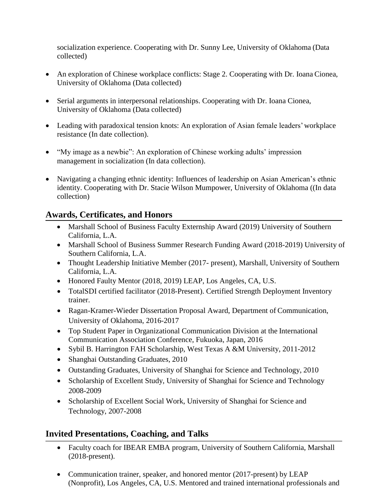socialization experience. Cooperating with Dr. Sunny Lee, University of Oklahoma (Data collected)

- An exploration of Chinese workplace conflicts: Stage 2. Cooperating with Dr. Ioana Cionea, University of Oklahoma (Data collected)
- Serial arguments in interpersonal relationships. Cooperating with Dr. Ioana Cionea, University of Oklahoma (Data collected)
- Leading with paradoxical tension knots: An exploration of Asian female leaders' workplace resistance (In date collection).
- "My image as a newbie": An exploration of Chinese working adults' impression management in socialization (In data collection).
- Navigating a changing ethnic identity: Influences of leadership on Asian American's ethnic identity. Cooperating with Dr. Stacie Wilson Mumpower, University of Oklahoma ((In data collection)

## **Awards, Certificates, and Honors**

- Marshall School of Business Faculty Externship Award (2019) University of Southern California, L.A.
- Marshall School of Business Summer Research Funding Award (2018-2019) University of Southern California, L.A.
- Thought Leadership Initiative Member (2017- present), Marshall, University of Southern California, L.A.
- Honored Faulty Mentor (2018, 2019) LEAP, Los Angeles, CA, U.S.
- TotalSDI certified facilitator (2018-Present). Certified Strength Deployment Inventory trainer.
- Ragan-Kramer-Wieder Dissertation Proposal Award, Department of Communication, University of Oklahoma, 2016-2017
- Top Student Paper in Organizational Communication Division at the International Communication Association Conference, Fukuoka, Japan, 2016
- Sybil B. Harrington FAH Scholarship, West Texas A &M University, 2011-2012
- Shanghai Outstanding Graduates, 2010
- Outstanding Graduates, University of Shanghai for Science and Technology, 2010
- Scholarship of Excellent Study, University of Shanghai for Science and Technology 2008-2009
- Scholarship of Excellent Social Work, University of Shanghai for Science and Technology, 2007-2008

## **Invited Presentations, Coaching, and Talks**

- Faculty coach for IBEAR EMBA program, University of Southern California, Marshall (2018-present).
- Communication trainer, speaker, and honored mentor (2017-present) by LEAP (Nonprofit), Los Angeles, CA, U.S. Mentored and trained international professionals and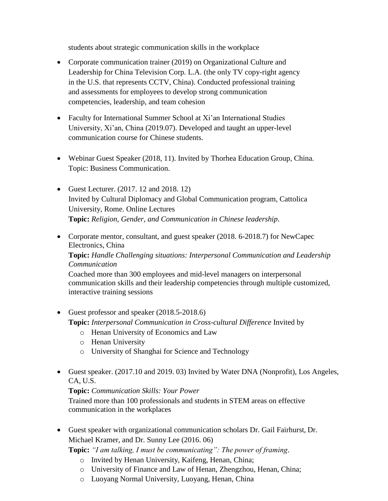students about strategic communication skills in the workplace

- Corporate communication trainer (2019) on Organizational Culture and Leadership for China Television Corp. L.A. (the only TV copy-right agency in the U.S. that represents CCTV, China). Conducted professional training and assessments for employees to develop strong communication competencies, leadership, and team cohesion
- Faculty for International Summer School at Xi'an International Studies University, Xi'an, China (2019.07). Developed and taught an upper-level communication course for Chinese students.
- Webinar Guest Speaker (2018, 11). Invited by Thorhea Education Group, China. Topic: Business Communication.
- Guest Lecturer. (2017. 12 and 2018. 12) Invited by Cultural Diplomacy and Global Communication program, Cattolica University, Rome. Online Lectures **Topic:** *Religion, Gender, and Communication in Chinese leadership*.
- Corporate mentor, consultant, and guest speaker (2018. 6-2018.7) for NewCapec Electronics, China

**Topic:** *Handle Challenging situations: Interpersonal Communication and Leadership Communication*

Coached more than 300 employees and mid-level managers on interpersonal communication skills and their leadership competencies through multiple customized, interactive training sessions

- Guest professor and speaker (2018.5-2018.6) **Topic:** *Interpersonal Communication in Cross-cultural Difference* Invited by
	- o Henan University of Economics and Law
	- o Henan University
	- o University of Shanghai for Science and Technology
- Guest speaker. (2017.10 and 2019. 03) Invited by Water DNA (Nonprofit), Los Angeles, CA, U.S.

## **Topic:** *Communication Skills: Your Power*

Trained more than 100 professionals and students in STEM areas on effective communication in the workplaces

 Guest speaker with organizational communication scholars Dr. Gail Fairhurst, Dr. Michael Kramer, and Dr. Sunny Lee (2016. 06)

**Topic:** *"I am talking, I must be communicating": The power of framing*.

- o Invited by Henan University, Kaifeng, Henan, China;
- o University of Finance and Law of Henan, Zhengzhou, Henan, China;
- o Luoyang Normal University, Luoyang, Henan, China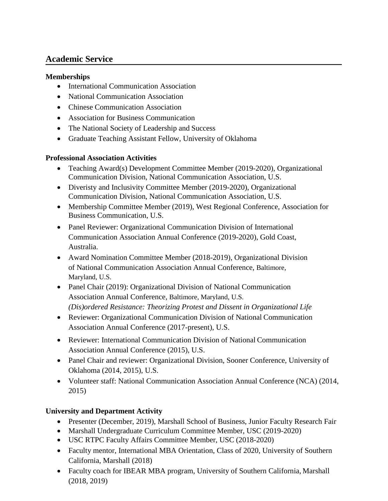## **Academic Service**

## **Memberships**

- International Communication Association
- National Communication Association
- Chinese Communication Association
- Association for Business Communication
- The National Society of Leadership and Success
- Graduate Teaching Assistant Fellow, University of Oklahoma

## **Professional Association Activities**

- Teaching Award(s) Development Committee Member (2019-2020), Organizational Communication Division, National Communication Association, U.S.
- Diveristy and Inclusivity Committee Member (2019-2020), Organizational Communication Division, National Communication Association, U.S.
- Membership Committee Member (2019), West Regional Conference, Association for Business Communication, U.S.
- Panel Reviewer: Organizational Communication Division of International Communication Association Annual Conference (2019-2020), Gold Coast, Australia.
- Award Nomination Committee Member (2018-2019), Organizational Division of National Communication Association Annual Conference, Baltimore, Maryland, U.S.
- Panel Chair (2019): Organizational Division of National Communication Association Annual Conference, Baltimore, Maryland, U.S. *(Dis)ordered Resistance: Theorizing Protest and Dissent in Organizational Life*
- Reviewer: Organizational Communication Division of National Communication Association Annual Conference (2017-present), U.S.
- Reviewer: International Communication Division of National Communication Association Annual Conference (2015), U.S.
- Panel Chair and reviewer: Organizational Division, Sooner Conference, University of Oklahoma (2014, 2015), U.S.
- Volunteer staff: National Communication Association Annual Conference (NCA) (2014, 2015)

## **University and Department Activity**

- Presenter (December, 2019), Marshall School of Business, Junior Faculty Research Fair
- Marshall Undergraduate Curriculum Committee Member, USC (2019-2020)
- USC RTPC Faculty Affairs Committee Member, USC (2018-2020)
- Faculty mentor, International MBA Orientation, Class of 2020, University of Southern California, Marshall (2018)
- Faculty coach for IBEAR MBA program, University of Southern California, Marshall (2018, 2019)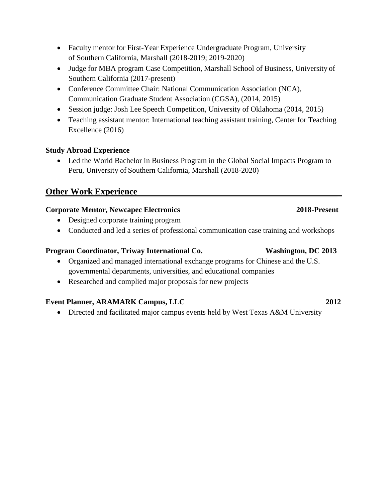- Faculty mentor for First-Year Experience Undergraduate Program, University of Southern California, Marshall (2018-2019; 2019-2020)
- Judge for MBA program Case Competition, Marshall School of Business, University of Southern California (2017-present)
- Conference Committee Chair: National Communication Association (NCA), Communication Graduate Student Association (CGSA), (2014, 2015)
- Session judge: Josh Lee Speech Competition, University of Oklahoma (2014, 2015)
- Teaching assistant mentor: International teaching assistant training, Center for Teaching Excellence (2016)

## **Study Abroad Experience**

• Led the World Bachelor in Business Program in the Global Social Impacts Program to Peru, University of Southern California, Marshall (2018-2020)

## **Other Work Experience**

### **Corporate Mentor, Newcapec Electronics 2018-Present**

- Designed corporate training program
- Conducted and led a series of professional communication case training and workshops

### **Program Coordinator, Triway International Co. Washington, DC 2013**

- Organized and managed international exchange programs for Chinese and the U.S. governmental departments, universities, and educational companies
- Researched and complied major proposals for new projects

## **Event Planner, ARAMARK Campus, LLC 2012**

• Directed and facilitated major campus events held by West Texas A&M University